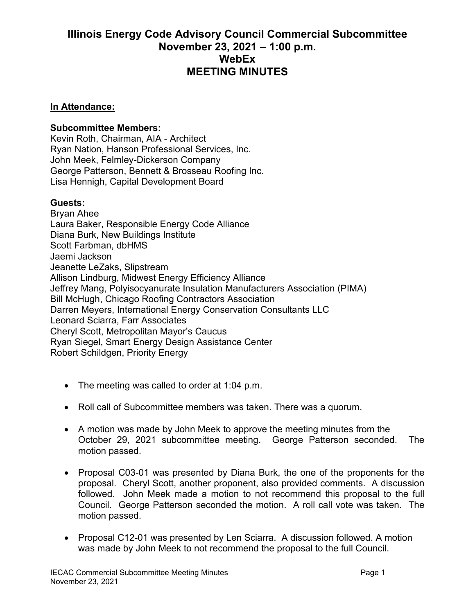## **Illinois Energy Code Advisory Council Commercial Subcommittee November 23, 2021 – 1:00 p.m. WebEx MEETING MINUTES**

## **In Attendance:**

## **Subcommittee Members:**

Kevin Roth, Chairman, AIA - Architect Ryan Nation, Hanson Professional Services, Inc. John Meek, Felmley-Dickerson Company George Patterson, Bennett & Brosseau Roofing Inc. Lisa Hennigh, Capital Development Board

## **Guests:**

Bryan Ahee Laura Baker, Responsible Energy Code Alliance Diana Burk, New Buildings Institute Scott Farbman, dbHMS Jaemi Jackson Jeanette LeZaks, Slipstream Allison Lindburg, Midwest Energy Efficiency Alliance Jeffrey Mang, Polyisocyanurate Insulation Manufacturers Association (PIMA) Bill McHugh, Chicago Roofing Contractors Association Darren Meyers, International Energy Conservation Consultants LLC Leonard Sciarra, Farr Associates Cheryl Scott, Metropolitan Mayor's Caucus Ryan Siegel, Smart Energy Design Assistance Center Robert Schildgen, Priority Energy

- The meeting was called to order at 1:04 p.m.
- Roll call of Subcommittee members was taken. There was a quorum.
- A motion was made by John Meek to approve the meeting minutes from the October 29, 2021 subcommittee meeting. George Patterson seconded. The motion passed.
- Proposal C03-01 was presented by Diana Burk, the one of the proponents for the proposal. Cheryl Scott, another proponent, also provided comments. A discussion followed. John Meek made a motion to not recommend this proposal to the full Council. George Patterson seconded the motion. A roll call vote was taken. The motion passed.
- Proposal C12-01 was presented by Len Sciarra. A discussion followed. A motion was made by John Meek to not recommend the proposal to the full Council.